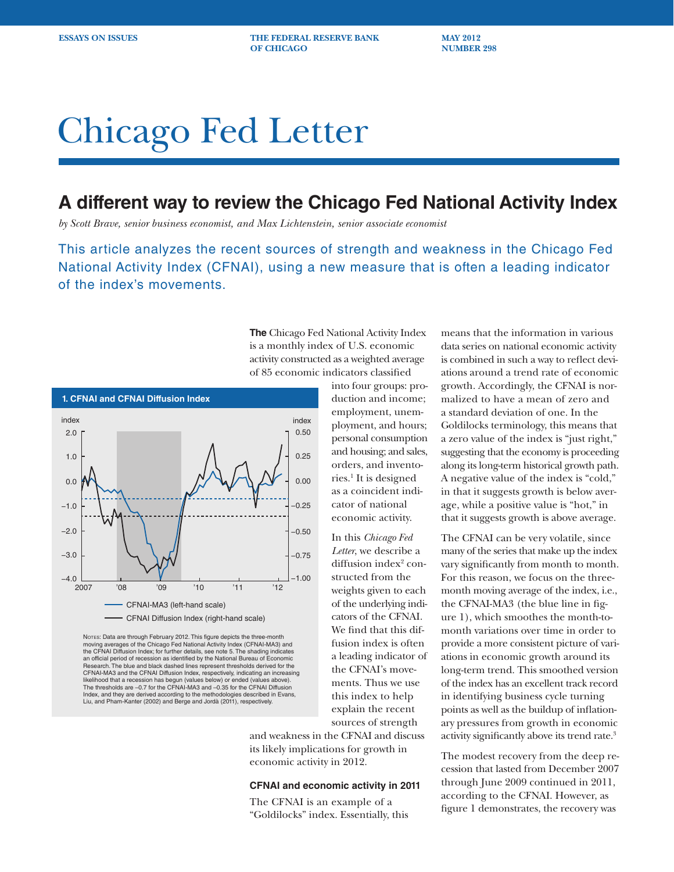**ESSAYS ON ISSUES THE FEDERAL RESERVE BANK MAY 2012 OF CHICAGO NUMBER 298**

# Chicago Fed Letter

# **A different way to review the Chicago Fed National Activity Index**

*by Scott Brave, senior business economist, and Max Lichtenstein, senior associate economist*

This article analyzes the recent sources of strength and weakness in the Chicago Fed National Activity Index (CFNAI), using a new measure that is often a leading indicator of the index's movements.



NOTES: Data are through February 2012. This figure depicts the three-month moving averages of the Chicago Fed National Activity Index (CFNAI-MA3) and the CFNAI Diffusion Index; for further details, see note 5. The shading indicates an official period of recession as identified by the National Bureau of Economic Research. The blue and black dashed lines represent thresholds derived for the CFNAI-MA3 and the CFNAI Diffusion Index, respectively, indicating an increasing likelihood that a recession has begun (values below) or ended (values above). The thresholds are –0.7 for the CFNAI-MA3 and –0.35 for the CFNAI Diffusion Index, and they are derived according to the methodologies described in Evans, Liu, and Pham-Kanter (2002) and Berge and Jordà (2011), respectively.

**The** Chicago Fed National Activity Index is a monthly index of U.S. economic activity constructed as a weighted average of 85 economic indicators classified into four groups: pro-

duction and income; employment, unemployment, and hours; personal consumption and housing; and sales, orders, and inventories.1 It is designed as a coincident indicator of national economic activity.

In this *Chicago Fed Letter*, we describe a diffusion index<sup>2</sup> constructed from the weights given to each of the underlying indicators of the CFNAI. We find that this diffusion index is often a leading indicator of the CFNAI's movements. Thus we use this index to help explain the recent sources of strength

and weakness in the CFNAI and discuss its likely implications for growth in economic activity in 2012.

#### **CFNAI and economic activity in 2011**

The CFNAI is an example of a "Goldilocks" index. Essentially, this

means that the information in various data series on national economic activity is combined in such a way to reflect deviations around a trend rate of economic growth. Accordingly, the CFNAI is normalized to have a mean of zero and a standard deviation of one. In the Goldilocks terminology, this means that a zero value of the index is "just right," suggesting that the economy is proceeding along its long-term historical growth path. A negative value of the index is "cold," in that it suggests growth is below average, while a positive value is "hot," in that it suggests growth is above average.

The CFNAI can be very volatile, since many of the series that make up the index vary significantly from month to month. For this reason, we focus on the threemonth moving average of the index, i.e., the CFNAI-MA3 (the blue line in figure 1), which smoothes the month-tomonth variations over time in order to provide a more consistent picture of variations in economic growth around its long-term trend. This smoothed version of the index has an excellent track record in identifying business cycle turning points as well as the buildup of inflationary pressures from growth in economic activity significantly above its trend rate.3

The modest recovery from the deep recession that lasted from December 2007 through June 2009 continued in 2011, according to the CFNAI. However, as figure 1 demonstrates, the recovery was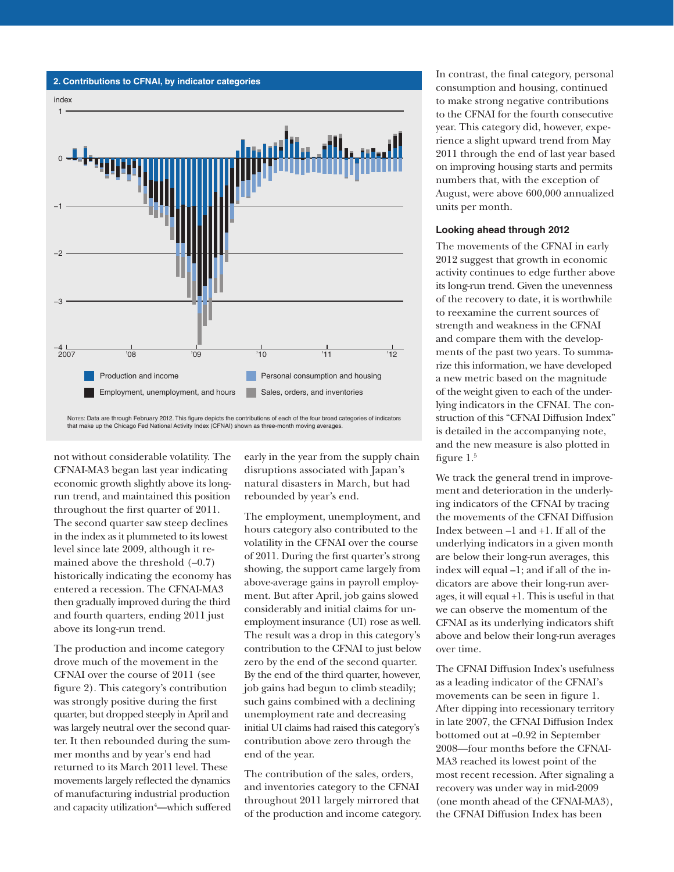

Notes: Data are through February 2012. This figure depicts the contributions of each of the four broad categories of indicators that make up the Chicago Fed National Activity Index (CFNAI) shown as three-month moving averages.

not without considerable volatility. The CFNAI-MA3 began last year indicating economic growth slightly above its longrun trend, and maintained this position throughout the first quarter of 2011. The second quarter saw steep declines in the index as it plummeted to its lowest level since late 2009, although it remained above the threshold  $(-0.7)$ historically indicating the economy has entered a recession. The CFNAI-MA3 then gradually improved during the third and fourth quarters, ending 2011 just above its long-run trend.

The production and income category drove much of the movement in the CFNAI over the course of 2011 (see figure 2). This category's contribution was strongly positive during the first quarter, but dropped steeply in April and was largely neutral over the second quarter. It then rebounded during the summer months and by year's end had returned to its March 2011 level. These movements largely reflected the dynamics of manufacturing industrial production and capacity utilization<sup>4</sup>—which suffered early in the year from the supply chain disruptions associated with Japan's natural disasters in March, but had rebounded by year's end.

The employment, unemployment, and hours category also contributed to the volatility in the CFNAI over the course of 2011. During the first quarter's strong showing, the support came largely from above-average gains in payroll employment. But after April, job gains slowed considerably and initial claims for unemployment insurance (UI) rose as well. The result was a drop in this category's contribution to the CFNAI to just below zero by the end of the second quarter. By the end of the third quarter, however, job gains had begun to climb steadily; such gains combined with a declining unemployment rate and decreasing initial UI claims had raised this category's contribution above zero through the end of the year.

The contribution of the sales, orders, and inventories category to the CFNAI throughout 2011 largely mirrored that of the production and income category.

In contrast, the final category, personal consumption and housing, continued to make strong negative contributions to the CFNAI for the fourth consecutive year. This category did, however, experience a slight upward trend from May 2011 through the end of last year based on improving housing starts and permits numbers that, with the exception of August, were above 600,000 annualized units per month.

## **Looking ahead through 2012**

The movements of the CFNAI in early 2012 suggest that growth in economic activity continues to edge further above its long-run trend. Given the unevenness of the recovery to date, it is worthwhile to reexamine the current sources of strength and weakness in the CFNAI and compare them with the developments of the past two years. To summarize this information, we have developed a new metric based on the magnitude of the weight given to each of the underlying indicators in the CFNAI. The construction of this "CFNAI Diffusion Index" is detailed in the accompanying note, and the new measure is also plotted in figure  $1<sup>5</sup>$ 

We track the general trend in improvement and deterioration in the underlying indicators of the CFNAI by tracing the movements of the CFNAI Diffusion Index between –1 and +1. If all of the underlying indicators in a given month are below their long-run averages, this index will equal –1; and if all of the indicators are above their long-run averages, it will equal +1. This is useful in that we can observe the momentum of the CFNAI as its underlying indicators shift above and below their long-run averages over time.

The CFNAI Diffusion Index's usefulness as a leading indicator of the CFNAI's movements can be seen in figure 1. After dipping into recessionary territory in late 2007, the CFNAI Diffusion Index bottomed out at –0.92 in September 2008—four months before the CFNAI-MA3 reached its lowest point of the most recent recession. After signaling a recovery was under way in mid-2009 (one month ahead of the CFNAI-MA3), the CFNAI Diffusion Index has been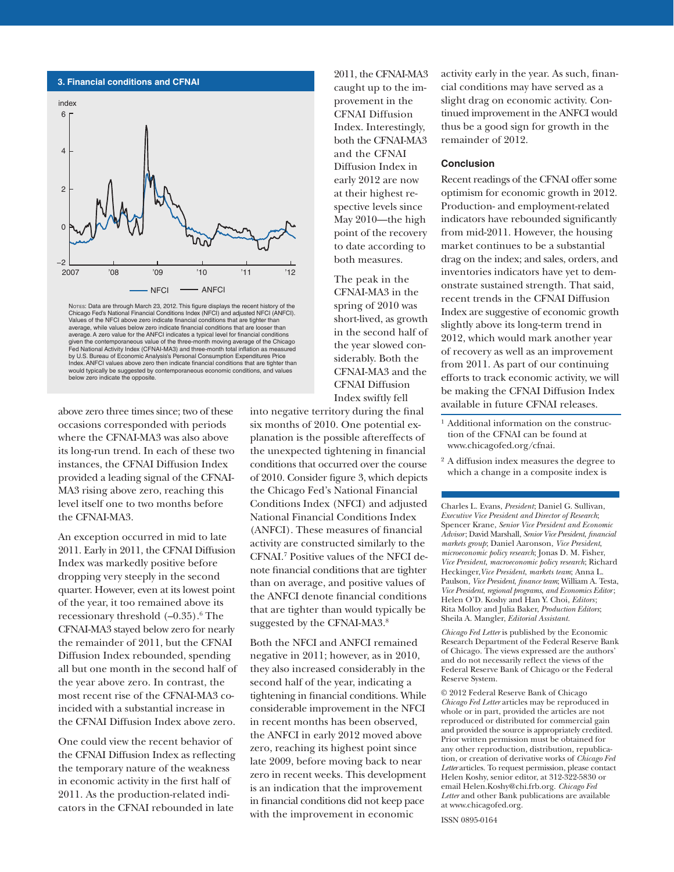

Notes: Data are through March 23, 2012. This figure displays the recent history of the Chicago Fed's National Financial Conditions Index (NFCI) and adjusted NFCI (ANFCI). Values of the NFCI above zero indicate financial conditions that are tighter than average, while values below zero indicate financial conditions that are looser than average. A zero value for the ANFCI indicates a typical level for financial conditions given the contemporaneous value of the three-month moving average of the Chicago Fed National Activity Index (CFNAI-MA3) and three-month total inflation as measured by U.S. Bureau of Economic Analysis's Personal Consumption Expenditures Price Index. ANFCI values above zero then indicate financial conditions that are tighter than would typically be suggested by contemporaneous economic conditions, and values below zero indicate the opposite.

above zero three times since; two of these occasions corresponded with periods where the CFNAI-MA3 was also above its long-run trend. In each of these two instances, the CFNAI Diffusion Index provided a leading signal of the CFNAI-MA3 rising above zero, reaching this level itself one to two months before the CFNAI-MA3.

An exception occurred in mid to late 2011. Early in 2011, the CFNAI Diffusion Index was markedly positive before dropping very steeply in the second quarter. However, even at its lowest point of the year, it too remained above its recessionary threshold  $(-0.35)$ .<sup>6</sup> The CFNAI-MA3 stayed below zero for nearly the remainder of 2011, but the CFNAI Diffusion Index rebounded, spending all but one month in the second half of the year above zero. In contrast, the most recent rise of the CFNAI-MA3 coincided with a substantial increase in the CFNAI Diffusion Index above zero.

One could view the recent behavior of the CFNAI Diffusion Index as reflecting the temporary nature of the weakness in economic activity in the first half of 2011. As the production-related indicators in the CFNAI rebounded in late

2011, the CFNAI-MA3 caught up to the improvement in the CFNAI Diffusion Index. Interestingly, both the CFNAI-MA3 and the CFNAI Diffusion Index in early 2012 are now at their highest respective levels since May 2010—the high point of the recovery to date according to both measures.

The peak in the CFNAI-MA3 in the spring of 2010 was short-lived, as growth in the second half of the year slowed considerably. Both the CFNAI-MA3 and the CFNAI Diffusion Index swiftly fell

into negative territory during the final six months of 2010. One potential explanation is the possible aftereffects of the unexpected tightening in financial conditions that occurred over the course of 2010. Consider figure 3, which depicts the Chicago Fed's National Financial Conditions Index (NFCI) and adjusted National Financial Conditions Index (ANFCI). These measures of financial activity are constructed similarly to the CFNAI.7 Positive values of the NFCI denote financial conditions that are tighter than on average, and positive values of the ANFCI denote financial conditions that are tighter than would typically be suggested by the CFNAI-MA3.8

Both the NFCI and ANFCI remained negative in 2011; however, as in 2010, they also increased considerably in the second half of the year, indicating a tightening in financial conditions. While considerable improvement in the NFCI in recent months has been observed, the ANFCI in early 2012 moved above zero, reaching its highest point since late 2009, before moving back to near zero in recent weeks. This development is an indication that the improvement in financial conditions did not keep pace with the improvement in economic

activity early in the year. As such, financial conditions may have served as a slight drag on economic activity. Continued improvement in the ANFCI would thus be a good sign for growth in the remainder of 2012.

### **Conclusion**

Recent readings of the CFNAI offer some optimism for economic growth in 2012. Production- and employment-related indicators have rebounded significantly from mid-2011. However, the housing market continues to be a substantial drag on the index; and sales, orders, and inventories indicators have yet to demonstrate sustained strength. That said, recent trends in the CFNAI Diffusion Index are suggestive of economic growth slightly above its long-term trend in 2012, which would mark another year of recovery as well as an improvement from 2011. As part of our continuing efforts to track economic activity, we will be making the CFNAI Diffusion Index available in future CFNAI releases.

1 Additional information on the construction of the CFNAI can be found at www.chicagofed.org/cfnai.

2 A diffusion index measures the degree to which a change in a composite index is

Charles L. Evans, *President*; Daniel G. Sullivan, *Executive Vice President and Director of Research*; Spencer Krane, *Senior Vice President and Economic Advisor*; David Marshall, *Senior Vice President*, *financial markets group*; Daniel Aaronson, *Vice President*, *microeconomic policy research*; Jonas D. M. Fisher, *Vice President*, *macroeconomic policy research*; Richard Heckinger,*Vice President*, *markets team*; Anna L. Paulson, *Vice President*, *finance team*; William A. Testa, *Vice President*, *regional programs*, *and Economics Editor*; Helen O'D. Koshy and Han Y. Choi, *Editors* ; Rita Molloy and Julia Baker, *Production Editors*; Sheila A. Mangler, *Editorial Assistant.* 

*Chicago Fed Letter* is published by the Economic Research Department of the Federal Reserve Bank of Chicago. The views expressed are the authors' and do not necessarily reflect the views of the Federal Reserve Bank of Chicago or the Federal Reserve System.

© 2012 Federal Reserve Bank of Chicago *Chicago Fed Letter* articles may be reproduced in whole or in part, provided the articles are not reproduced or distributed for commercial gain and provided the source is appropriately credited. Prior written permission must be obtained for any other reproduction, distribution, republication, or creation of derivative works of *Chicago Fed Letter* articles. To request permission, please contact Helen Koshy, senior editor, at 312-322-5830 or email Helen.Koshy@chi.frb.org. *Chicago Fed Letter* and other Bank publications are available at www.chicagofed.org.

ISSN 0895-0164